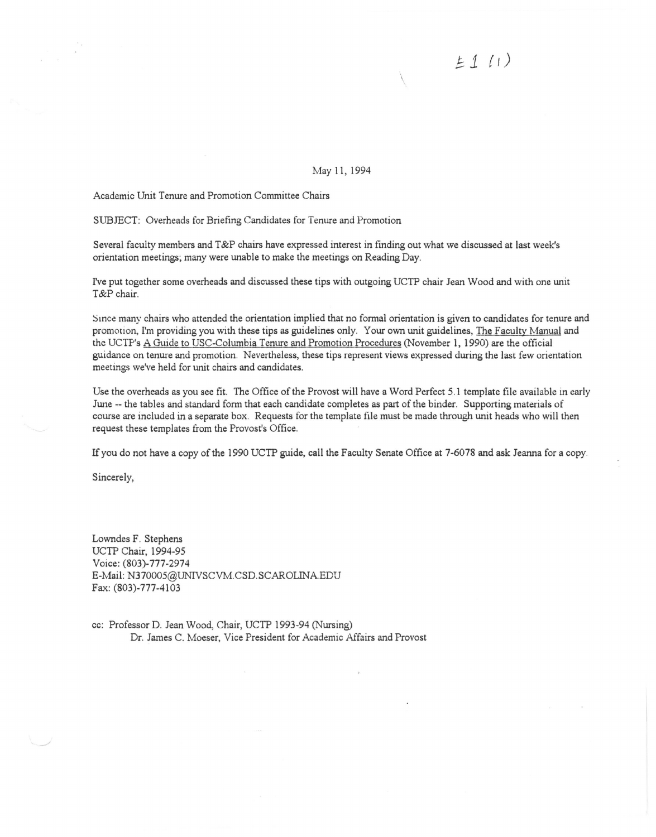*J;.1 {1)* 

May 11, 1994

 $\overline{\phantom{a}}$ 

Academic Unit Tenure and Promotion Committee Chairs

SUBJECT: Overheads for Briefing Candidates for Tenure and Promotion

Several faculty members and T&P chairs have expressed interest in finding out what we discussed at last week's orientation meetings; many were unable to make the meetings on Reading Day.

I've put together some overheads and discussed these tips with outgoing UCTP chair Jean Wood and with one unit T&P chair.

Since many chairs who attended the orientation implied that no formal orientation is given to candidates for tenure and promotion, I'm providing you with these tips as guidelines only. Your own unit guidelines, The Faculty Manual and the UCTP's A Guide to USC-Columbia Tenure and Promotion Procedures (November 1, 1990) are the official guidance on tenure and promotion. Nevertheless, these tips represent views expressed during the last few orientation meetings we've held for unit chairs and candidates.

Use the overheads as you see fit. The Office of the Provost will have a Word Perfect 5.1 template file available in early June -- the tables and standard form that each candidate completes as part of the binder. Supporting materials of course are included in a separate box. Requests for the template file must be made through unit heads who will then request these templates from the Provost's Office.

If you do not have a copy of the 1990 UCTP guide, call the Faculty Senate Office at 7-6078 and ask Jeanna for a copy.

Sincerely,

Lowndes F. Stephens UCTP Chair, 1994-95 Voice: (803)-777-2974 E-Mail: N370005@UNIVSCVM.CSD.SCAROLINAEDU Fax: (803)-777-4103

cc: Professor D. Jean Wood, Chair, UCTP 1993-94 (Nursing) Dr. James C. Moeser, Vice President for Academic Affairs and Provost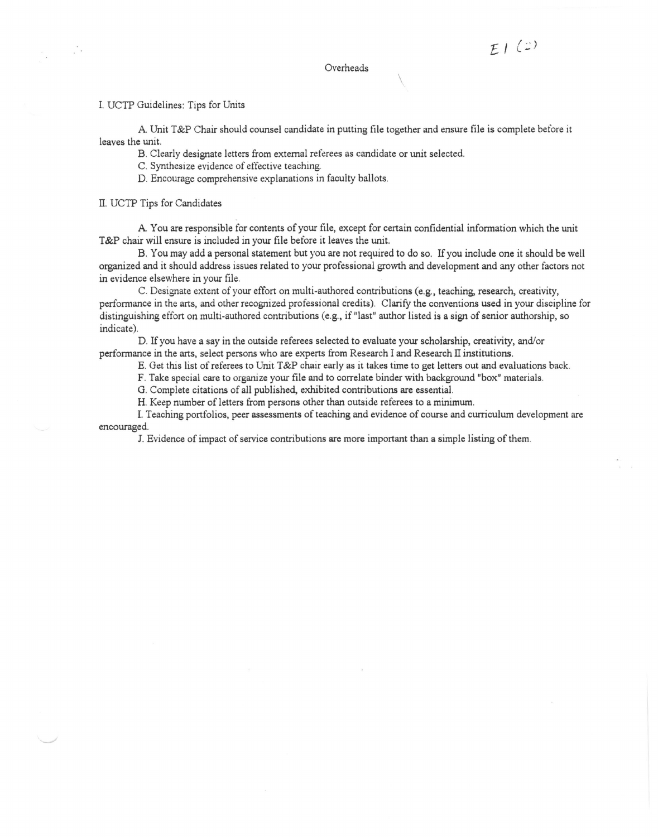#### Overheads

 $\overline{\phantom{a}}$ 

 $F/(2)$ 

### I. UCTP Guidelines: Tips for Units

 $\frac{1}{2}$  ,  $\frac{1}{2}$ 

A. Unit T&P Chair should counsel candidate in putting file together and ensure file is complete before it leaves the unit.

B. Clearly designate letters from external referees as candidate or unit selected.

C. Synthesize evidence of effective teaching.

D. Encourage comprehensive explanations in faculty ballots.

II. UCTP Tips for Candidates

A You are responsible for contents of your file, except for certain confidential information which the unit T&P chair will ensure is included in your file before it leaves the unit.

B. You may add a personal statement but you are not required to do so. If you include one it should be well organized and it should address issues related to your professional growth and development and any other factors not in evidence elsewhere in your file.

C. Designate extent of your effort on multi-authored contributions (e.g., teaching, research, creativity, performance in the arts, and other recognized professional credits). Clarify the conventions used in your discipline for distinguishing effort on multi-authored contributions (e.g., if "last" author listed is a sign of senior authorship, so indicate).

D. If you have a say in the outside referees selected to evaluate your scholarship, creativity, and/or performance in the arts, select persons who are experts from Research I and Research II institutions.

E. Get this list of referees to Unit T&P chair early as it takes time to get letters out and evaluations back.

F. Take special care to organize your file and to correlate binder with background "box" materials.

G. Complete citations of all published, exhibited contributions are essential.

H. Keep number of letters from persons other than outside referees to a minimum.

I. Teaching portfolios, peer assessments of teaching and evidence of course and curriculum development are encouraged.

J. Evidence of impact of service contributions are more important than a simple listing of them.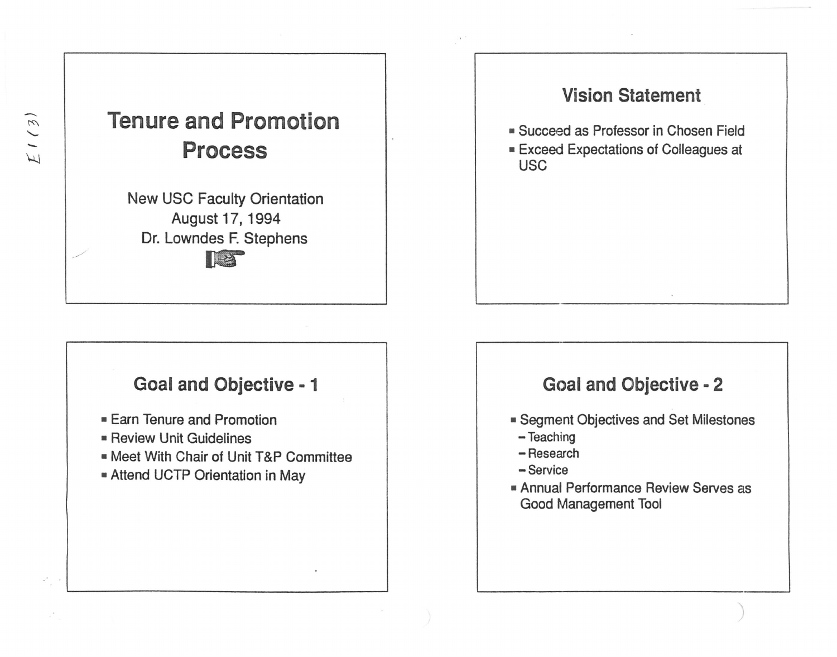

## **Vision Statement**

- Succeed as Professor in Chosen Field
- Exceed Expectations of Colleagues at USC

## **Goal and Objective - 1**

- Earn Tenure and Promotion
- Review Unit Guidelines
- Meet With Chair of Unit T&P Committee
- Attend UCTP Orientation in May

# Goal and Objective - 2

- Segment Objectives and Set Milestones
- Teaching
- -Research
- Service
- Annual Performance Review Serves as Good Management Tool

J